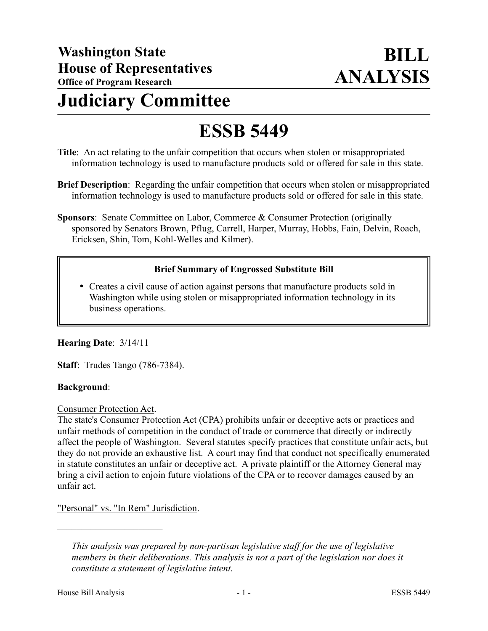# **Judiciary Committee**

# **ESSB 5449**

- **Title**: An act relating to the unfair competition that occurs when stolen or misappropriated information technology is used to manufacture products sold or offered for sale in this state.
- **Brief Description**: Regarding the unfair competition that occurs when stolen or misappropriated information technology is used to manufacture products sold or offered for sale in this state.
- **Sponsors**: Senate Committee on Labor, Commerce & Consumer Protection (originally sponsored by Senators Brown, Pflug, Carrell, Harper, Murray, Hobbs, Fain, Delvin, Roach, Ericksen, Shin, Tom, Kohl-Welles and Kilmer).

# **Brief Summary of Engrossed Substitute Bill**

 Creates a civil cause of action against persons that manufacture products sold in Washington while using stolen or misappropriated information technology in its business operations.

# **Hearing Date**: 3/14/11

**Staff**: Trudes Tango (786-7384).

#### **Background**:

Consumer Protection Act.

The state's Consumer Protection Act (CPA) prohibits unfair or deceptive acts or practices and unfair methods of competition in the conduct of trade or commerce that directly or indirectly affect the people of Washington. Several statutes specify practices that constitute unfair acts, but they do not provide an exhaustive list. A court may find that conduct not specifically enumerated in statute constitutes an unfair or deceptive act. A private plaintiff or the Attorney General may bring a civil action to enjoin future violations of the CPA or to recover damages caused by an unfair act.

"Personal" vs. "In Rem" Jurisdiction.

––––––––––––––––––––––

*This analysis was prepared by non-partisan legislative staff for the use of legislative members in their deliberations. This analysis is not a part of the legislation nor does it constitute a statement of legislative intent.*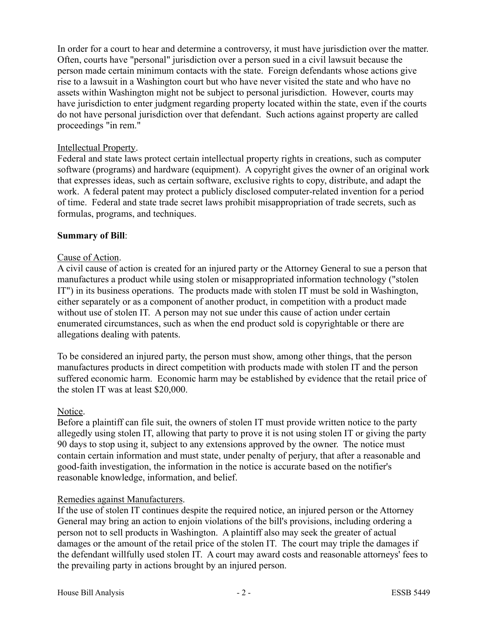In order for a court to hear and determine a controversy, it must have jurisdiction over the matter. Often, courts have "personal" jurisdiction over a person sued in a civil lawsuit because the person made certain minimum contacts with the state. Foreign defendants whose actions give rise to a lawsuit in a Washington court but who have never visited the state and who have no assets within Washington might not be subject to personal jurisdiction. However, courts may have jurisdiction to enter judgment regarding property located within the state, even if the courts do not have personal jurisdiction over that defendant. Such actions against property are called proceedings "in rem."

#### Intellectual Property.

Federal and state laws protect certain intellectual property rights in creations, such as computer software (programs) and hardware (equipment). A copyright gives the owner of an original work that expresses ideas, such as certain software, exclusive rights to copy, distribute, and adapt the work. A federal patent may protect a publicly disclosed computer-related invention for a period of time. Federal and state trade secret laws prohibit misappropriation of trade secrets, such as formulas, programs, and techniques.

#### **Summary of Bill**:

### Cause of Action.

A civil cause of action is created for an injured party or the Attorney General to sue a person that manufactures a product while using stolen or misappropriated information technology ("stolen IT") in its business operations. The products made with stolen IT must be sold in Washington, either separately or as a component of another product, in competition with a product made without use of stolen IT. A person may not sue under this cause of action under certain enumerated circumstances, such as when the end product sold is copyrightable or there are allegations dealing with patents.

To be considered an injured party, the person must show, among other things, that the person manufactures products in direct competition with products made with stolen IT and the person suffered economic harm. Economic harm may be established by evidence that the retail price of the stolen IT was at least \$20,000.

#### Notice.

Before a plaintiff can file suit, the owners of stolen IT must provide written notice to the party allegedly using stolen IT, allowing that party to prove it is not using stolen IT or giving the party 90 days to stop using it, subject to any extensions approved by the owner. The notice must contain certain information and must state, under penalty of perjury, that after a reasonable and good-faith investigation, the information in the notice is accurate based on the notifier's reasonable knowledge, information, and belief.

#### Remedies against Manufacturers.

If the use of stolen IT continues despite the required notice, an injured person or the Attorney General may bring an action to enjoin violations of the bill's provisions, including ordering a person not to sell products in Washington. A plaintiff also may seek the greater of actual damages or the amount of the retail price of the stolen IT. The court may triple the damages if the defendant willfully used stolen IT. A court may award costs and reasonable attorneys' fees to the prevailing party in actions brought by an injured person.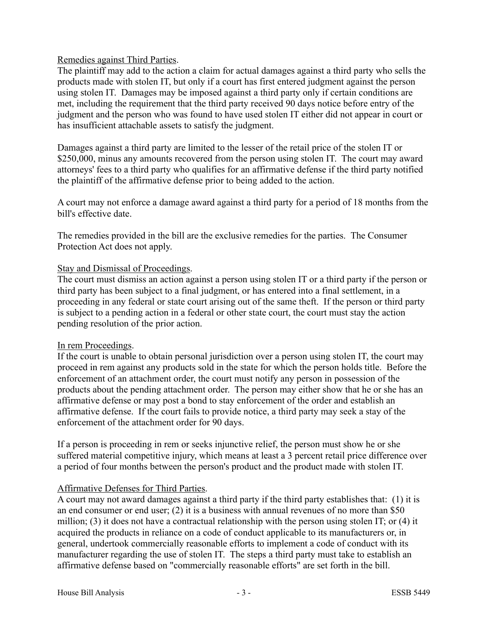### Remedies against Third Parties.

The plaintiff may add to the action a claim for actual damages against a third party who sells the products made with stolen IT, but only if a court has first entered judgment against the person using stolen IT. Damages may be imposed against a third party only if certain conditions are met, including the requirement that the third party received 90 days notice before entry of the judgment and the person who was found to have used stolen IT either did not appear in court or has insufficient attachable assets to satisfy the judgment.

Damages against a third party are limited to the lesser of the retail price of the stolen IT or \$250,000, minus any amounts recovered from the person using stolen IT. The court may award attorneys' fees to a third party who qualifies for an affirmative defense if the third party notified the plaintiff of the affirmative defense prior to being added to the action.

A court may not enforce a damage award against a third party for a period of 18 months from the bill's effective date.

The remedies provided in the bill are the exclusive remedies for the parties. The Consumer Protection Act does not apply.

#### Stay and Dismissal of Proceedings.

The court must dismiss an action against a person using stolen IT or a third party if the person or third party has been subject to a final judgment, or has entered into a final settlement, in a proceeding in any federal or state court arising out of the same theft. If the person or third party is subject to a pending action in a federal or other state court, the court must stay the action pending resolution of the prior action.

#### In rem Proceedings.

If the court is unable to obtain personal jurisdiction over a person using stolen IT, the court may proceed in rem against any products sold in the state for which the person holds title. Before the enforcement of an attachment order, the court must notify any person in possession of the products about the pending attachment order. The person may either show that he or she has an affirmative defense or may post a bond to stay enforcement of the order and establish an affirmative defense. If the court fails to provide notice, a third party may seek a stay of the enforcement of the attachment order for 90 days.

If a person is proceeding in rem or seeks injunctive relief, the person must show he or she suffered material competitive injury, which means at least a 3 percent retail price difference over a period of four months between the person's product and the product made with stolen IT.

# Affirmative Defenses for Third Parties.

A court may not award damages against a third party if the third party establishes that: (1) it is an end consumer or end user; (2) it is a business with annual revenues of no more than \$50 million; (3) it does not have a contractual relationship with the person using stolen IT; or (4) it acquired the products in reliance on a code of conduct applicable to its manufacturers or, in general, undertook commercially reasonable efforts to implement a code of conduct with its manufacturer regarding the use of stolen IT. The steps a third party must take to establish an affirmative defense based on "commercially reasonable efforts" are set forth in the bill.